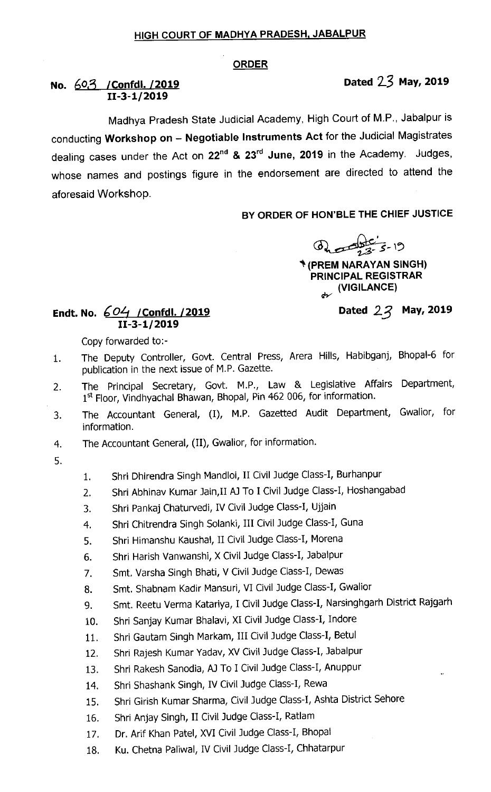#### ORDER

# No. 603 / Confdl. /2019 **Dated 23 May, 2019** 11-3-1/2019

Madhya Pradesh State Judicial Academy, High Court of M.P., Jabalpur is conducting Workshop on - Negotiable Instruments Act for the Judicial Magistrates dealing cases under the Act on 22<sup>nd</sup> & 23<sup>rd</sup> June, 2019 in the Academy. Judges, whose names and postings figure in the endorsement are directed to attend the aforesaid Workshop.

## BY ORDER OF HON'BLE THE CHIEF JUSTICE

B.E-LE

` (PREM NARAYAN SINGH) PRINCIPAL REGISTRAR www.www.com/<br>strategy/vigilance)

# Dated  $22$  May, 2019

### Endt. No.  $604$  / Confdl. / 2019 11-3-1/2019

Copy forwarded to:-

- 1. The Deputy Controller, Govt. Central Press, Arera Hills, Habibganj, Bhopal-6 for publication in the next issue of M.P. Gazette.
- 2. The Principal Secretary, Govt. M.P., Law & Legislative Affairs Department, 1st Floor, Vindhyachal Bhawan, Bhopal, Pin 462 006, for information.
- 3. The Accountant General, (I), M.P. Gazetted Audit Department, Gwalior, for information.
- 4. The Accountant General, (II), Gwalior, for information.
- 5'
- 1. Shri Dhirendra singh Mandloi, II civil Judge class-I, Burhanpur
- 2. Shri Abhinav Kumar Jain, II AJ To I Civil Judge Class-I, Hoshangabad
- 3. Shri Pankaj Chaturvedi, IV Civil Judge Class-I, Ujjain
- 4. Shri chitrendra singh solanki, Ill civil Judge class-I, Guna
- 5. Shri Himanshu Kaushal, II civil Judge class-I, Morena
- 6. Shri Harish vanwanshi, X civil Judge class-I, Jabalpur
- 7. Smt. Varsha singh Bhati, V civil Judge class-I, Dewas
- 8. Smt. Shabnam Kadir Mansuri, VI civil Judge class-I, Gwalior
- 9. Smt. Reetu verma Katariya, I civil Judge class-I, Narsinghgarh District Rajgarh
- 10. Shri Sanjay Kumar Bhalavi, XI Civil Judge Class-I, Indore
- 11. Shri Gautam singh Markam, Ill civil Judge class-I, Betul
- 12. Shri Rajesh Kumar Yadav, XV Civil Judge Class-I, Jabalpur
- 13. Shri Rakesh sanodia, AJ To I civil Judge class-I, Anuppur
- 14. Shri Shashank Singh, IV Civil Judge Class-I, Rewa
- 15. Shri Girish Kumar Sharma, Civil Judge Class-I, Ashta District Sehore
- 16. Shri Anjay Singh, II Civil Judge Class-I, Ratlam
- 17. Dr. Arif Khan patel, XVI civil Judge class-I, Bhopal
- 18. Ku. Chetna Paliwal, IV Civil Judge Class-I, Chhatarpur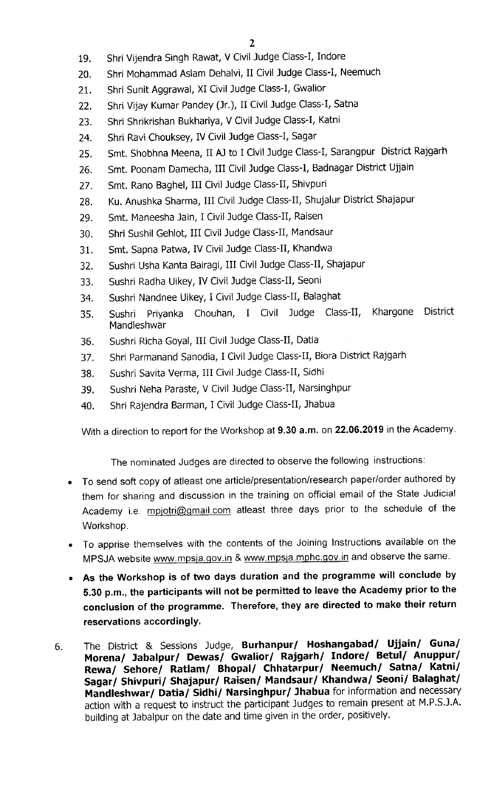- 19. Shri vijendra singh Rawat, V civil Judge class-I, Indore
- 20. Shri Mohammad Aslam Dehalvi, II Civil Judge Class-I, Neemuch
- 21. Shri Sunit Aggrawal, XI Civil Judge Class-I, Gwalior
- 22. Shri Vijay Kumar Pandey (Jr.), II Civil Judge Class-I, Satna
- 23. Shri shrikrishan Bukhariya, V civil Judge class-I, Katni
- 24. Shri Ravi chouksey, IV civil Judge class-I, Sagar
- 25. Smt. Shobhna Meena, II AJ to I civil Judge class-I, Sarangpur District Rajgarh
- 26. Smt. Poonam Damecha, III Civil Judge Class-I, Badnagar District Ujjain
- 27. Smt. Rano Baghel, III Civil Judge Class-II, Shivpuri
- 28. Ku. Anushka Sharma, III Civil Judge Class-II, Shujalur District Shajapur
- 29. Smt. Maneesha Jain, I Civil Judge Class-II, Raisen
- 30. Shri sushil Gehlot, Ill civil Judge class-II, Mandsaur
- 31. Smt. Sapna patwa, IV civil Judge class-II, Khandwa
- 32. Sushri usha Kanta Bairagi, Ill civil Judge class-II, Shajapur
- 33. Sushri Radha Uikey, IV Civil Judge Class-II, Seoni
- 34. Sushri Nandnee uikey, I civil Judge class-II, Balaghat
- 35. Sushri Priyanka Chouhan, I Civil Judge class-II, Khargone District Mandleshwar
- 36. Sushri Richa Goyal, Ill civil Judge class-II, Datia
- 37. Shri parmanand sanodia, I civil Judge class-II, Biora District Rajgarh
- 38. Sushri Savita Verma, III Civil Judge Class-II, Sidhi
- 39. Sushri Neha paraste, V civil Judge class-II, Narsinghpur
- 40. Shri Rajendra Barman, I Civil Judge Class-II, Jhabua

With a direction to report for the Workshop at 9.30 a.m. on 22.06.2019 in the Academy.

The nominated Judges are directed to observe the following instructions:

- To send soft copy of atleast one article/presentation/research paper/order authored by them for sharing and discussion in the training on official email of the State Judicial Academy i.e. mpjotri@gmail.com atleast three days prior to the schedule of the Workshop.
- To apprise themselves with the contents of the Joining Instructions available on the MPSJA website www.mpsja.gov.in & www.mpsja.mphc.gov.in and observe the same.
- As the Workshop is of two days duration and the programme will conclude by 5.30 p.m., the participants will not be permitted to leave the Academy prior to the conclusion of the programme. Therefore, they are directed to make their return reservations accordingly.
- The District & Sessions Judge, Burhanpur/ Hoshangabad/ Ujjain/ Guna/ 6. Morena/ Jabalpur/ Dewas/ Gwalior/ Rajgarh/ Ihdore/ Betul/ Anuppur/ Rewa/ Sehore/ Ratlam/ Bhopal/ Chhatarpur/ Neemuch/ Satna/ Katni/ Sagar/ Shivpuri/ Shajapur/ Raisen/ Mandsaur/ Khandwa/ Seoni/ Balaghat/ Mandleshwar/ Datia/ Sidhi/ Narsinghpur/ Jhabua for information and necessary action with a request to instruct the participant Judges to remain present at M.P.S.J.A. building at Jabalpur on the date and time given in the order, positively.